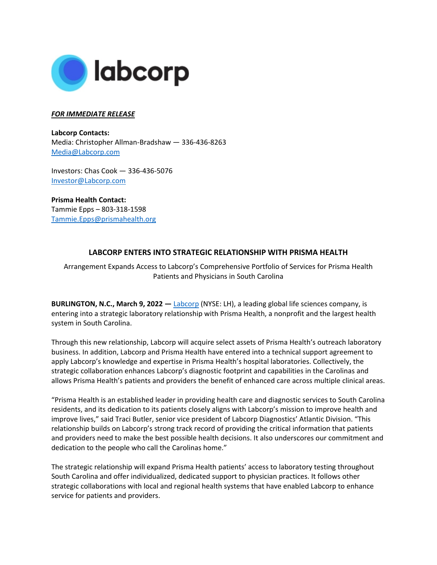

## *FOR IMMEDIATE RELEASE*

**Labcorp Contacts:**  Media: Christopher Allman-Bradshaw — 336-436-8263 [Media@Labcorp.com](mailto:Media@Labcorp.com)

Investors: Chas Cook — 336-436-5076 [Investor@Labcorp.com](mailto:Investor@Labcorp.com)

**Prisma Health Contact:** Tammie Epps – 803-318-1598 [Tammie.Epps@prismahealth.org](mailto:Tammie.Epps@prismahealth.org)

## **LABCORP ENTERS INTO STRATEGIC RELATIONSHIP WITH PRISMA HEALTH**

Arrangement Expands Access to Labcorp's Comprehensive Portfolio of Services for Prisma Health Patients and Physicians in South Carolina

**BURLINGTON, N.C., March 9, 2022 —** [Labcorp](https://www.labcorp.com/) (NYSE: LH), a leading global life sciences company, is entering into a strategic laboratory relationship with Prisma Health, a nonprofit and the largest health system in South Carolina.

Through this new relationship, Labcorp will acquire select assets of Prisma Health's outreach laboratory business. In addition, Labcorp and Prisma Health have entered into a technical support agreement to apply Labcorp's knowledge and expertise in Prisma Health's hospital laboratories. Collectively, the strategic collaboration enhances Labcorp's diagnostic footprint and capabilities in the Carolinas and allows Prisma Health's patients and providers the benefit of enhanced care across multiple clinical areas.

"Prisma Health is an established leader in providing health care and diagnostic services to South Carolina residents, and its dedication to its patients closely aligns with Labcorp's mission to improve health and improve lives," said Traci Butler, senior vice president of Labcorp Diagnostics' Atlantic Division. "This relationship builds on Labcorp's strong track record of providing the critical information that patients and providers need to make the best possible health decisions. It also underscores our commitment and dedication to the people who call the Carolinas home."

The strategic relationship will expand Prisma Health patients' access to laboratory testing throughout South Carolina and offer individualized, dedicated support to physician practices. It follows other strategic collaborations with local and regional health systems that have enabled Labcorp to enhance service for patients and providers.